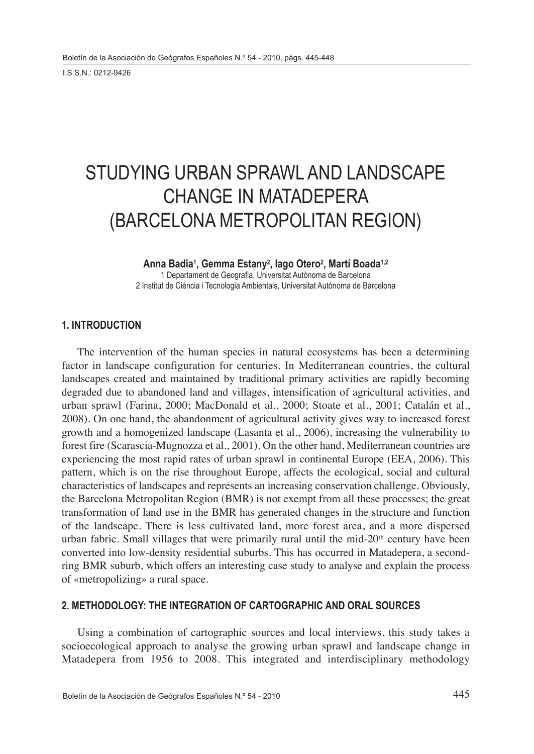I.S.S.N.: 0212-9426

# STUDYING URBAN SPRAWL AND LANDSCAPE CHANGE IN MATADEPERA (BARCELONA METROPOLITAN REGION)

## **Anna Badia1 , Gemma Estany2 , Iago Otero2 , Martí Boada1,2**

1 Departament de Geografia, Universitat Autònoma de Barcelona 2 Institut de Ciència i Tecnologia Ambientals, Universitat Autònoma de Barcelona

## **1. INTRODUCTION**

The intervention of the human species in natural ecosystems has been a determining factor in landscape configuration for centuries. In Mediterranean countries, the cultural landscapes created and maintained by traditional primary activities are rapidly becoming degraded due to abandoned land and villages, intensification of agricultural activities, and urban sprawl (Farina, 2000; MacDonald et al., 2000; Stoate et al., 2001; Catalán et al., 2008). On one hand, the abandonment of agricultural activity gives way to increased forest growth and a homogenized landscape (Lasanta et al., 2006), increasing the vulnerability to forest fire (Scarascia-Mugnozza et al., 2001). On the other hand, Mediterranean countries are experiencing the most rapid rates of urban sprawl in continental Europe (EEA, 2006). This pattern, which is on the rise throughout Europe, affects the ecological, social and cultural characteristics of landscapes and represents an increasing conservation challenge. Obviously, the Barcelona Metropolitan Region (BMR) is not exempt from all these processes; the great transformation of land use in the BMR has generated changes in the structure and function of the landscape. There is less cultivated land, more forest area, and a more dispersed urban fabric. Small villages that were primarily rural until the mid-20<sup>th</sup> century have been converted into low-density residential suburbs. This has occurred in Matadepera, a secondring BMR suburb, which offers an interesting case study to analyse and explain the process of «metropolizing» a rural space.

## **2. METHODOLOGY: THE INTEGRATION OF CARTOGRAPHIC AND ORAL SOURCES**

Using a combination of cartographic sources and local interviews, this study takes a socioecological approach to analyse the growing urban sprawl and landscape change in Matadepera from 1956 to 2008. This integrated and interdisciplinary methodology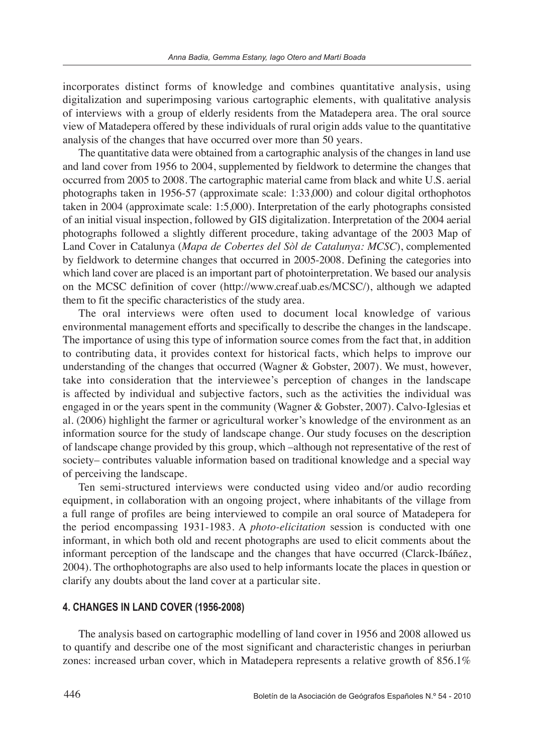incorporates distinct forms of knowledge and combines quantitative analysis, using digitalization and superimposing various cartographic elements, with qualitative analysis of interviews with a group of elderly residents from the Matadepera area. The oral source view of Matadepera offered by these individuals of rural origin adds value to the quantitative analysis of the changes that have occurred over more than 50 years.

The quantitative data were obtained from a cartographic analysis of the changes in land use and land cover from 1956 to 2004, supplemented by fieldwork to determine the changes that occurred from 2005 to 2008. The cartographic material came from black and white U.S. aerial photographs taken in 1956-57 (approximate scale: 1:33,000) and colour digital orthophotos taken in 2004 (approximate scale: 1:5,000). Interpretation of the early photographs consisted of an initial visual inspection, followed by GIS digitalization. Interpretation of the 2004 aerial photographs followed a slightly different procedure, taking advantage of the 2003 Map of Land Cover in Catalunya (*Mapa de Cobertes del Sòl de Catalunya: MCSC*), complemented by fieldwork to determine changes that occurred in 2005-2008. Defining the categories into which land cover are placed is an important part of photointerpretation. We based our analysis on the MCSC definition of cover (http://www.creaf.uab.es/MCSC/), although we adapted them to fit the specific characteristics of the study area.

The oral interviews were often used to document local knowledge of various environmental management efforts and specifically to describe the changes in the landscape. The importance of using this type of information source comes from the fact that, in addition to contributing data, it provides context for historical facts, which helps to improve our understanding of the changes that occurred (Wagner & Gobster, 2007). We must, however, take into consideration that the interviewee's perception of changes in the landscape is affected by individual and subjective factors, such as the activities the individual was engaged in or the years spent in the community (Wagner & Gobster, 2007). Calvo-Iglesias et al. (2006) highlight the farmer or agricultural worker's knowledge of the environment as an information source for the study of landscape change. Our study focuses on the description of landscape change provided by this group, which –although not representative of the rest of society– contributes valuable information based on traditional knowledge and a special way of perceiving the landscape.

Ten semi-structured interviews were conducted using video and/or audio recording equipment, in collaboration with an ongoing project, where inhabitants of the village from a full range of profiles are being interviewed to compile an oral source of Matadepera for the period encompassing 1931-1983. A *photo-elicitation* session is conducted with one informant, in which both old and recent photographs are used to elicit comments about the informant perception of the landscape and the changes that have occurred (Clarck-Ibáñez, 2004). The orthophotographs are also used to help informants locate the places in question or clarify any doubts about the land cover at a particular site.

#### **4. CHANGES IN LAND COVER (1956-2008)**

The analysis based on cartographic modelling of land cover in 1956 and 2008 allowed us to quantify and describe one of the most significant and characteristic changes in periurban zones: increased urban cover, which in Matadepera represents a relative growth of 856.1%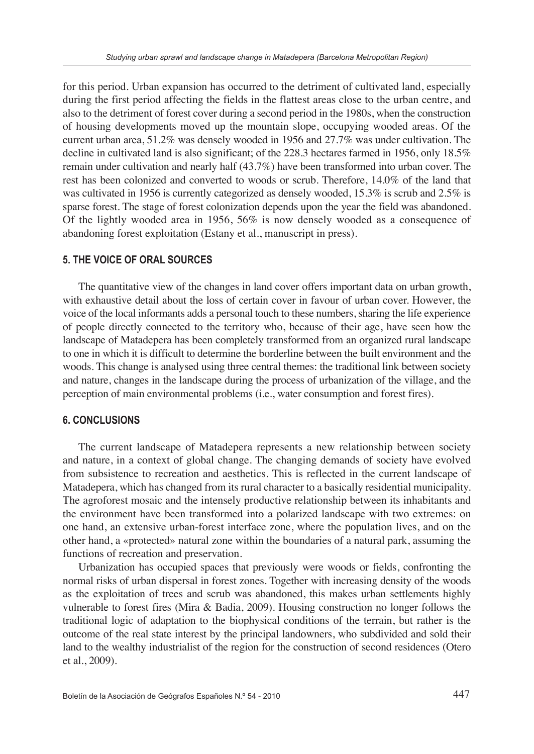for this period. Urban expansion has occurred to the detriment of cultivated land, especially during the first period affecting the fields in the flattest areas close to the urban centre, and also to the detriment of forest cover during a second period in the 1980s, when the construction of housing developments moved up the mountain slope, occupying wooded areas. Of the current urban area, 51.2% was densely wooded in 1956 and 27.7% was under cultivation. The decline in cultivated land is also significant; of the 228.3 hectares farmed in 1956, only 18.5% remain under cultivation and nearly half (43.7%) have been transformed into urban cover. The rest has been colonized and converted to woods or scrub. Therefore, 14.0% of the land that was cultivated in 1956 is currently categorized as densely wooded, 15.3% is scrub and 2.5% is sparse forest. The stage of forest colonization depends upon the year the field was abandoned. Of the lightly wooded area in 1956, 56% is now densely wooded as a consequence of abandoning forest exploitation (Estany et al., manuscript in press).

### **5. THE VOICE OF ORAL SOURCES**

The quantitative view of the changes in land cover offers important data on urban growth, with exhaustive detail about the loss of certain cover in favour of urban cover. However, the voice of the local informants adds a personal touch to these numbers, sharing the life experience of people directly connected to the territory who, because of their age, have seen how the landscape of Matadepera has been completely transformed from an organized rural landscape to one in which it is difficult to determine the borderline between the built environment and the woods. This change is analysed using three central themes: the traditional link between society and nature, changes in the landscape during the process of urbanization of the village, and the perception of main environmental problems (i.e., water consumption and forest fires).

#### **6. CONCLUSIONS**

The current landscape of Matadepera represents a new relationship between society and nature, in a context of global change. The changing demands of society have evolved from subsistence to recreation and aesthetics. This is reflected in the current landscape of Matadepera, which has changed from its rural character to a basically residential municipality. The agroforest mosaic and the intensely productive relationship between its inhabitants and the environment have been transformed into a polarized landscape with two extremes: on one hand, an extensive urban-forest interface zone, where the population lives, and on the other hand, a «protected» natural zone within the boundaries of a natural park, assuming the functions of recreation and preservation.

Urbanization has occupied spaces that previously were woods or fields, confronting the normal risks of urban dispersal in forest zones. Together with increasing density of the woods as the exploitation of trees and scrub was abandoned, this makes urban settlements highly vulnerable to forest fires (Mira & Badia, 2009). Housing construction no longer follows the traditional logic of adaptation to the biophysical conditions of the terrain, but rather is the outcome of the real state interest by the principal landowners, who subdivided and sold their land to the wealthy industrialist of the region for the construction of second residences (Otero et al., 2009).